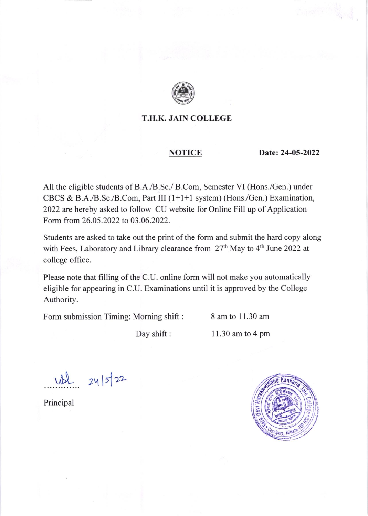

## T.H.K. JAIN COLLEGE

#### NOTICE

Date:24-05-2022

All the eligible students of B.A./B.Sc./ B.Com, Semester VI (Hons./Gen.) under CBCS & B.A./B.Sc./B.Com, Part III (l+l+l system) (Hons./Gen.) Examination, 2022 are hereby asked to follow CU website for Online Fill up of Application Form from 26.05.2022 to 03.06.2022.

Students are asked to take out the print of the form and submit the hard copy along with Fees, Laboratory and Library clearance from 27<sup>th</sup> May to 4<sup>th</sup> June 2022 at college office.

Please note that filling of the C.U. online form will not make you automatically eligible for appearing in C.U. Examinations until it is approved by the College Authority.

Form submission Timing: Morning shift : 8 am to 11.30 am

Day shift :  $11.30$  am to 4 pm

.......<br>.  $24|5|22$ 

Principal